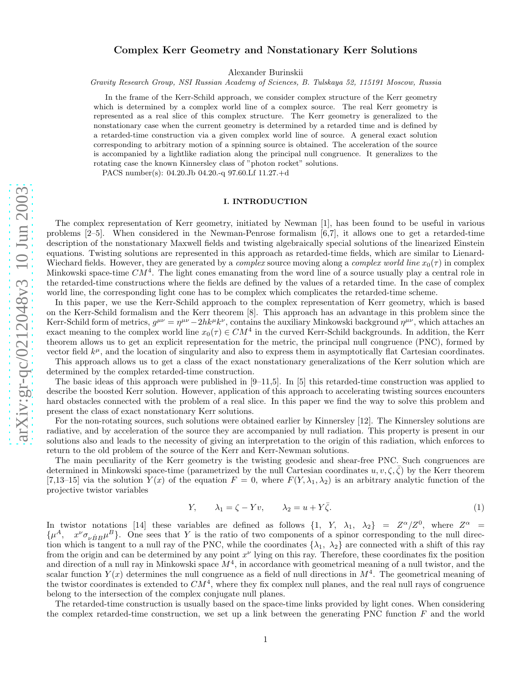# Complex Kerr Geometry and Nonstationary Kerr Solutions

Alexander Burinskii

*Gravity Research Group, NSI Russian Academy of Sciences, B. Tulskaya 52, 115191 Moscow, Russia*

In the frame of the Kerr-Schild approach, we consider complex structure of the Kerr geometry which is determined by a complex world line of a complex source. The real Kerr geometry is represented as a real slice of this complex structure. The Kerr geometry is generalized to the nonstationary case when the current geometry is determined by a retarded time and is defined by a retarded-time construction via a given complex world line of source. A general exact solution corresponding to arbitrary motion of a spinning source is obtained. The acceleration of the source is accompanied by a lightlike radiation along the principal null congruence. It generalizes to the rotating case the known Kinnersley class of "photon rocket" solutions.

PACS number(s): 04.20.Jb 04.20.-q 97.60.Lf 11.27.+d

# I. INTRODUCTION

The complex representation of Kerr geometry, initiated by Newman [1], has been found to be useful in various problems [2–5]. When considered in the Newman-Penrose formalism [6,7], it allows one to get a retarded-time description of the nonstationary Maxwell fields and twisting algebraically special solutions of the linearized Einstein equations. Twisting solutions are represented in this approach as retarded-time fields, which are similar to Lienard-Wiechard fields. However, they are generated by a *complex* source moving along a *complex world line*  $x_0(\tau)$  in complex Minkowski space-time  $CM^4$ . The light cones emanating from the word line of a source usually play a central role in the retarded-time constructions where the fields are defined by the values of a retarded time. In the case of complex world line, the corresponding light cone has to be complex which complicates the retarded-time scheme.

In this paper, we use the Kerr-Schild approach to the complex representation of Kerr geometry, which is based on the Kerr-Schild formalism and the Kerr theorem [8]. This approach has an advantage in this problem since the Kerr-Schild form of metrics,  $g^{\mu\nu} = \eta^{\mu\nu} - 2hk^{\mu}k^{\nu}$ , contains the auxiliary Minkowski background  $\eta^{\mu\nu}$ , which attaches an exact meaning to the complex world line  $x_0(\tau) \in CM^4$  in the curved Kerr-Schild backgrounds. In addition, the Kerr theorem allows us to get an explicit representation for the metric, the principal null congruence (PNC), formed by vector field  $k^{\mu}$ , and the location of singularity and also to express them in asymptotically flat Cartesian coordinates.

This approach allows us to get a class of the exact nonstationary generalizations of the Kerr solution which are determined by the complex retarded-time construction.

The basic ideas of this approach were published in [9–11,5]. In [5] this retarded-time construction was applied to describe the boosted Kerr solution. However, application of this approach to accelerating twisting sources encounters hard obstacles connected with the problem of a real slice. In this paper we find the way to solve this problem and present the class of exact nonstationary Kerr solutions.

For the non-rotating sources, such solutions were obtained earlier by Kinnersley [12]. The Kinnersley solutions are radiative, and by acceleration of the source they are accompanied by null radiation. This property is present in our solutions also and leads to the necessity of giving an interpretation to the origin of this radiation, which enforces to return to the old problem of the source of the Kerr and Kerr-Newman solutions.

The main peculiarity of the Kerr geometry is the twisting geodesic and shear-free PNC. Such congruences are determined in Minkowski space-time (parametrized by the null Cartesian coordinates  $u, v, \zeta, \bar{\zeta}$ ) by the Kerr theorem [7,13–15] via the solution  $Y(x)$  of the equation  $F = 0$ , where  $F(Y, \lambda_1, \lambda_2)$  is an arbitrary analytic function of the projective twistor variables

$$
Y, \qquad \lambda_1 = \zeta - Yv, \qquad \lambda_2 = u + Y\overline{\zeta}.
$$

In twistor notations [14] these variables are defined as follows  $\{1, Y, \lambda_1, \lambda_2\} = Z^{\alpha}/Z^0$ , where  $Z^{\alpha} =$  $\{\mu^A, \quad x^{\nu}\sigma_{\nu\dot{B}B}\mu^B\}$ . One sees that Y is the ratio of two components of a spinor corresponding to the null direction which is tangent to a null ray of the PNC, while the coordinates  $\{\lambda_1, \lambda_2\}$  are connected with a shift of this ray from the origin and can be determined by any point  $x^{\nu}$  lying on this ray. Therefore, these coordinates fix the position and direction of a null ray in Minkowski space  $M<sup>4</sup>$ , in accordance with geometrical meaning of a null twistor, and the scalar function  $Y(x)$  determines the null congruence as a field of null directions in  $M<sup>4</sup>$ . The geometrical meaning of the twistor coordinates is extended to  $CM<sup>4</sup>$ , where they fix complex null planes, and the real null rays of congruence belong to the intersection of the complex conjugate null planes.

The retarded-time construction is usually based on the space-time links provided by light cones. When considering the complex retarded-time construction, we set up a link between the generating PNC function F and the world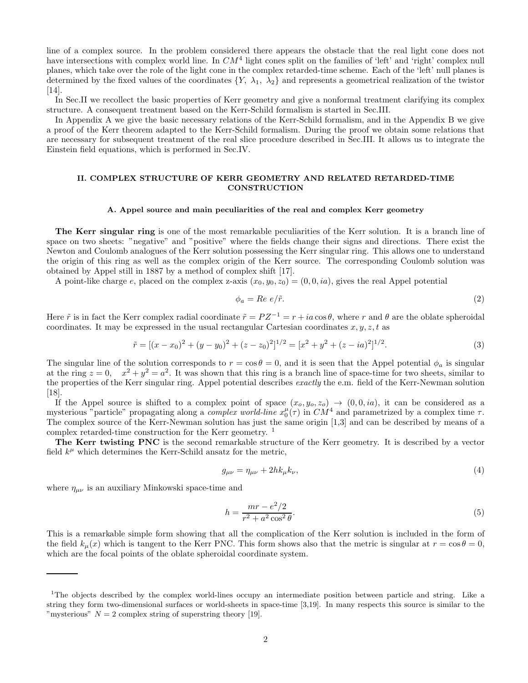line of a complex source. In the problem considered there appears the obstacle that the real light cone does not have intersections with complex world line. In  $CM<sup>4</sup>$  light cones split on the families of 'left' and 'right' complex null planes, which take over the role of the light cone in the complex retarded-time scheme. Each of the 'left' null planes is determined by the fixed values of the coordinates  $\{Y, \lambda_1, \lambda_2\}$  and represents a geometrical realization of the twistor [14].

In Sec.II we recollect the basic properties of Kerr geometry and give a nonformal treatment clarifying its complex structure. A consequent treatment based on the Kerr-Schild formalism is started in Sec.III.

In Appendix A we give the basic necessary relations of the Kerr-Schild formalism, and in the Appendix B we give a proof of the Kerr theorem adapted to the Kerr-Schild formalism. During the proof we obtain some relations that are necessary for subsequent treatment of the real slice procedure described in Sec.III. It allows us to integrate the Einstein field equations, which is performed in Sec.IV.

# II. COMPLEX STRUCTURE OF KERR GEOMETRY AND RELATED RETARDED-TIME **CONSTRUCTION**

#### A. Appel source and main peculiarities of the real and complex Kerr geometry

The Kerr singular ring is one of the most remarkable peculiarities of the Kerr solution. It is a branch line of space on two sheets: "negative" and "positive" where the fields change their signs and directions. There exist the Newton and Coulomb analogues of the Kerr solution possessing the Kerr singular ring. This allows one to understand the origin of this ring as well as the complex origin of the Kerr source. The corresponding Coulomb solution was obtained by Appel still in 1887 by a method of complex shift [17].

A point-like charge e, placed on the complex z-axis  $(x_0, y_0, z_0) = (0, 0, ia)$ , gives the real Appel potential

$$
\phi_a = Re \, e/\tilde{r}.\tag{2}
$$

Here  $\tilde{r}$  is in fact the Kerr complex radial coordinate  $\tilde{r} = P Z^{-1} = r + ia \cos \theta$ , where r and  $\theta$  are the oblate spheroidal coordinates. It may be expressed in the usual rectangular Cartesian coordinates  $x, y, z, t$  as

$$
\tilde{r} = [(x - x_0)^2 + (y - y_0)^2 + (z - z_0)^2]^{1/2} = [x^2 + y^2 + (z - ia)^2]^{1/2}.
$$
\n(3)

The singular line of the solution corresponds to  $r = \cos \theta = 0$ , and it is seen that the Appel potential  $\phi_a$  is singular at the ring  $z = 0$ ,  $x^2 + y^2 = a^2$ . It was shown that this ring is a branch line of space-time for two sheets, similar to the properties of the Kerr singular ring. Appel potential describes exactly the e.m. field of the Kerr-Newman solution [18].

If the Appel source is shifted to a complex point of space  $(x_o, y_o, z_o) \rightarrow (0, 0, ia)$ , it can be considered as a mysterious "particle" propagating along a *complex world-line*  $x_0^{\mu}(\tau)$  in  $CM^4$  and parametrized by a complex time  $\tau$ . The complex source of the Kerr-Newman solution has just the same origin [1,3] and can be described by means of a complex retarded-time construction for the Kerr geometry. <sup>1</sup>

The Kerr twisting PNC is the second remarkable structure of the Kerr geometry. It is described by a vector field  $k^{\mu}$  which determines the Kerr-Schild ansatz for the metric,

$$
g_{\mu\nu} = \eta_{\mu\nu} + 2hk_{\mu}k_{\nu},\tag{4}
$$

where  $\eta_{\mu\nu}$  is an auxiliary Minkowski space-time and

$$
h = \frac{mr - e^2/2}{r^2 + a^2 \cos^2 \theta}.
$$
\n(5)

This is a remarkable simple form showing that all the complication of the Kerr solution is included in the form of the field  $k_\mu(x)$  which is tangent to the Kerr PNC. This form shows also that the metric is singular at  $r = \cos \theta = 0$ , which are the focal points of the oblate spheroidal coordinate system.

<sup>&</sup>lt;sup>1</sup>The objects described by the complex world-lines occupy an intermediate position between particle and string. Like a string they form two-dimensional surfaces or world-sheets in space-time [3,19]. In many respects this source is similar to the "mysterious"  $N = 2$  complex string of superstring theory [19].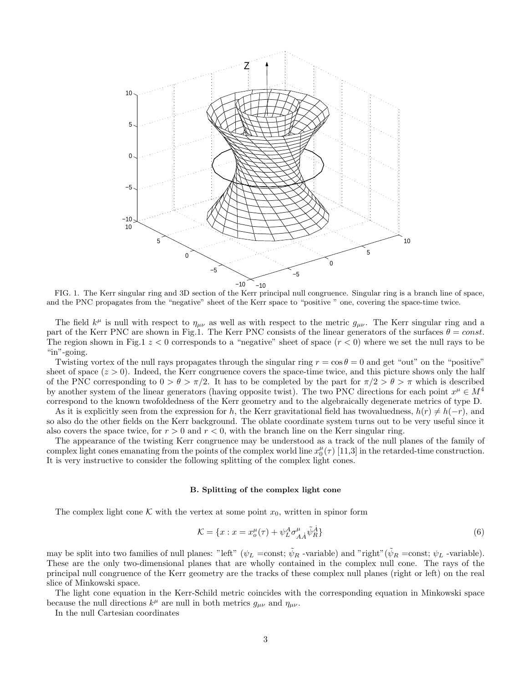

FIG. 1. The Kerr singular ring and 3D section of the Kerr principal null congruence. Singular ring is a branch line of space, and the PNC propagates from the "negative" sheet of the Kerr space to "positive " one, covering the space-time twice.

The field  $k^{\mu}$  is null with respect to  $\eta_{\mu\nu}$  as well as with respect to the metric  $g_{\mu\nu}$ . The Kerr singular ring and a part of the Kerr PNC are shown in Fig.1. The Kerr PNC consists of the linear generators of the surfaces  $\theta = const.$ The region shown in Fig.1  $z < 0$  corresponds to a "negative" sheet of space  $(r < 0)$  where we set the null rays to be "in"-going.

Twisting vortex of the null rays propagates through the singular ring  $r = \cos \theta = 0$  and get "out" on the "positive" sheet of space  $(z > 0)$ . Indeed, the Kerr congruence covers the space-time twice, and this picture shows only the half of the PNC corresponding to  $0 > \theta > \pi/2$ . It has to be completed by the part for  $\pi/2 > \theta > \pi$  which is described by another system of the linear generators (having opposite twist). The two PNC directions for each point  $x^{\mu} \in M^4$ correspond to the known twofoldedness of the Kerr geometry and to the algebraically degenerate metrics of type D.

As it is explicitly seen from the expression for h, the Kerr gravitational field has two valuedness,  $h(r) \neq h(-r)$ , and so also do the other fields on the Kerr background. The oblate coordinate system turns out to be very useful since it also covers the space twice, for  $r > 0$  and  $r < 0$ , with the branch line on the Kerr singular ring.

The appearance of the twisting Kerr congruence may be understood as a track of the null planes of the family of complex light cones emanating from the points of the complex world line  $x_0^{\mu}(\tau)$  [11,3] in the retarded-time construction. It is very instructive to consider the following splitting of the complex light cones.

#### B. Splitting of the complex light cone

The complex light cone K with the vertex at some point  $x_0$ , written in spinor form

$$
\mathcal{K} = \{x : x = x_o^{\mu}(\tau) + \psi_L^A \sigma_{A\dot{A}}^{\mu} \tilde{\psi}_R^{\dot{A}}\}\tag{6}
$$

may be split into two families of null planes: "left" ( $\psi_L$  =const;  $\tilde{\psi}_R$  -variable) and "right"( $\tilde{\psi}_R$  =const;  $\psi_L$  -variable). These are the only two-dimensional planes that are wholly contained in the complex null cone. The rays of the principal null congruence of the Kerr geometry are the tracks of these complex null planes (right or left) on the real slice of Minkowski space.

The light cone equation in the Kerr-Schild metric coincides with the corresponding equation in Minkowski space because the null directions  $k^{\mu}$  are null in both metrics  $g_{\mu\nu}$  and  $\eta_{\mu\nu}$ .

In the null Cartesian coordinates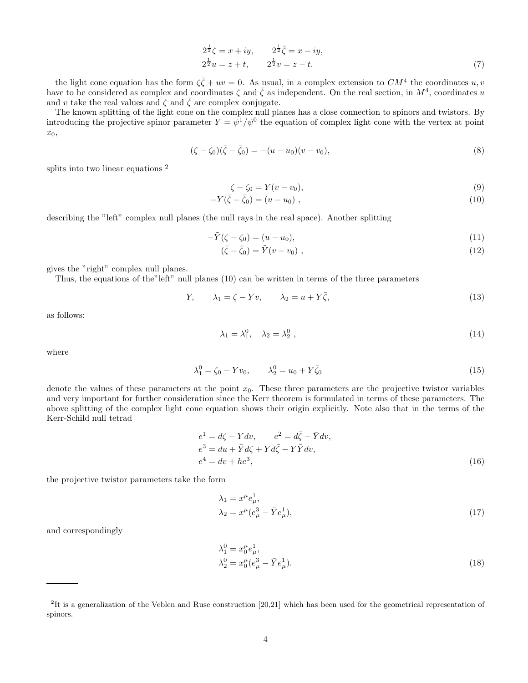$$
2^{\frac{1}{2}}\zeta = x + iy, \qquad 2^{\frac{1}{2}}\bar{\zeta} = x - iy, 2^{\frac{1}{2}}u = z + t, \qquad 2^{\frac{1}{2}}v = z - t.
$$
 (7)

the light cone equation has the form  $\zeta \bar{\zeta} + uv = 0$ . As usual, in a complex extension to  $CM^4$  the coordinates  $u, v$ have to be considered as complex and coordinates  $\zeta$  and  $\bar{\zeta}$  as independent. On the real section, in  $M^4$ , coordinates u and v take the real values and  $\zeta$  and  $\overline{\zeta}$  are complex conjugate.

The known splitting of the light cone on the complex null planes has a close connection to spinors and twistors. By introducing the projective spinor parameter  $Y = \psi^1/\psi^0$  the equation of complex light cone with the vertex at point  $x_0,$ 

$$
(\zeta - \zeta_0)(\bar{\zeta} - \bar{\zeta}_0) = -(u - u_0)(v - v_0),
$$
\n(8)

splits into two linear equations<sup>2</sup>

$$
\zeta - \zeta_0 = Y(v - v_0),\tag{9}
$$

$$
-Y(\bar{\zeta} - \bar{\zeta}_0) = (u - u_0) \tag{10}
$$

describing the "left" complex null planes (the null rays in the real space). Another splitting

$$
-\tilde{Y}(\zeta - \zeta_0) = (u - u_0),\tag{11}
$$

$$
(\bar{\zeta} - \bar{\zeta}_0) = \tilde{Y}(v - v_0) \tag{12}
$$

gives the "right" complex null planes.

Thus, the equations of the"left" null planes (10) can be written in terms of the three parameters

$$
Y, \qquad \lambda_1 = \zeta - Yv, \qquad \lambda_2 = u + Y\bar{\zeta}, \tag{13}
$$

as follows:

$$
\lambda_1 = \lambda_1^0, \quad \lambda_2 = \lambda_2^0 \tag{14}
$$

where

$$
\lambda_1^0 = \zeta_0 - Yv_0, \qquad \lambda_2^0 = u_0 + Y\bar{\zeta}_0 \tag{15}
$$

denote the values of these parameters at the point  $x_0$ . These three parameters are the projective twistor variables and very important for further consideration since the Kerr theorem is formulated in terms of these parameters. The above splitting of the complex light cone equation shows their origin explicitly. Note also that in the terms of the Kerr-Schild null tetrad

$$
e1 = d\zeta - Ydv, \t e2 = d\overline{\zeta} - \overline{Y}dv,e3 = du + \overline{Y}d\zeta + Yd\overline{\zeta} - Y\overline{Y}dv,e4 = dv + he3,
$$
\t(16)

the projective twistor parameters take the form

$$
\lambda_1 = x^{\mu} e_{\mu}^1, \n\lambda_2 = x^{\mu} (e_{\mu}^3 - \bar{Y} e_{\mu}^1),
$$
\n(17)

and correspondingly

$$
\lambda_1^0 = x_0^{\mu} e_{\mu}^1, \n\lambda_2^0 = x_0^{\mu} (e_{\mu}^3 - \bar{Y} e_{\mu}^1).
$$
\n(18)

<sup>&</sup>lt;sup>2</sup>It is a generalization of the Veblen and Ruse construction [20,21] which has been used for the geometrical representation of spinors.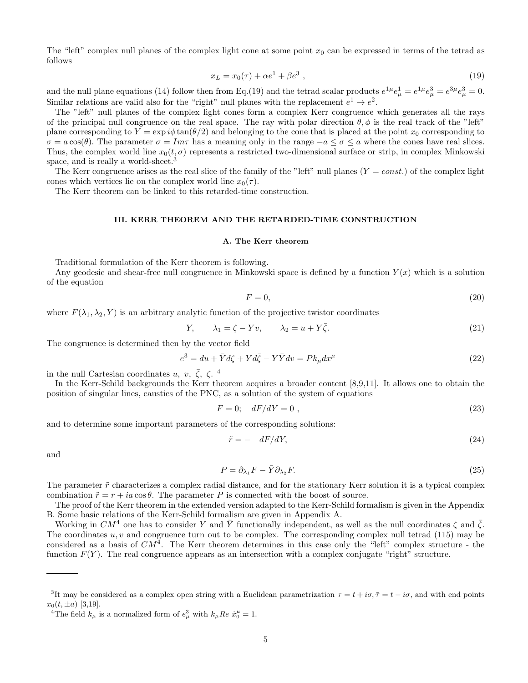The "left" complex null planes of the complex light cone at some point  $x_0$  can be expressed in terms of the tetrad as follows

$$
x_L = x_0(\tau) + \alpha e^1 + \beta e^3 \t\t(19)
$$

and the null plane equations (14) follow then from Eq.(19) and the tetrad scalar products  $e^{1\mu}e^{1}_{\mu} = e^{1\mu}e^{3}_{\mu} = e^{3\mu}e^{3}_{\mu} = 0$ . Similar relations are valid also for the "right" null planes with the replacement  $e^1 \to e^2$ .

The "left" null planes of the complex light cones form a complex Kerr congruence which generates all the rays of the principal null congruence on the real space. The ray with polar direction  $\theta, \phi$  is the real track of the "left" plane corresponding to  $Y = \exp i\phi \tan(\theta/2)$  and belonging to the cone that is placed at the point  $x_0$  corresponding to  $\sigma = a \cos(\theta)$ . The parameter  $\sigma = Im\tau$  has a meaning only in the range  $-a \le \sigma \le a$  where the cones have real slices. Thus, the complex world line  $x_0(t, \sigma)$  represents a restricted two-dimensional surface or strip, in complex Minkowski space, and is really a world-sheet.<sup>3</sup>

The Kerr congruence arises as the real slice of the family of the "left" null planes  $(Y = const.)$  of the complex light cones which vertices lie on the complex world line  $x_0(\tau)$ .

The Kerr theorem can be linked to this retarded-time construction.

## III. KERR THEOREM AND THE RETARDED-TIME CONSTRUCTION

# A. The Kerr theorem

Traditional formulation of the Kerr theorem is following.

Any geodesic and shear-free null congruence in Minkowski space is defined by a function  $Y(x)$  which is a solution of the equation

$$
F = 0,\t\t(20)
$$

where  $F(\lambda_1, \lambda_2, Y)$  is an arbitrary analytic function of the projective twistor coordinates

$$
Y, \qquad \lambda_1 = \zeta - Yv, \qquad \lambda_2 = u + Y\overline{\zeta}.
$$
\n
$$
(21)
$$

The congruence is determined then by the vector field

$$
e^{3} = du + \bar{Y}d\zeta + Yd\bar{\zeta} - Y\bar{Y}dv = Pk_{\mu}dx^{\mu}
$$
\n(22)

in the null Cartesian coordinates u, v,  $\bar{\zeta}$ ,  $\zeta$ .<sup>4</sup>

In the Kerr-Schild backgrounds the Kerr theorem acquires a broader content [8,9,11]. It allows one to obtain the position of singular lines, caustics of the PNC, as a solution of the system of equations

$$
F = 0; \quad dF/dY = 0 \tag{23}
$$

and to determine some important parameters of the corresponding solutions:

$$
\tilde{r} = -dF/dY,\tag{24}
$$

and

$$
P = \partial_{\lambda_1} F - \bar{Y} \partial_{\lambda_2} F. \tag{25}
$$

The parameter  $\tilde{r}$  characterizes a complex radial distance, and for the stationary Kerr solution it is a typical complex combination  $\tilde{r} = r + ia \cos \theta$ . The parameter P is connected with the boost of source.

The proof of the Kerr theorem in the extended version adapted to the Kerr-Schild formalism is given in the Appendix B. Some basic relations of the Kerr-Schild formalism are given in Appendix A.

Working in  $CM^4$  one has to consider Y and  $\overline{Y}$  functionally independent, as well as the null coordinates  $\zeta$  and  $\overline{\zeta}$ . The coordinates  $u, v$  and congruence turn out to be complex. The corresponding complex null tetrad (115) may be considered as a basis of  $CM<sup>4</sup>$ . The Kerr theorem determines in this case only the "left" complex structure - the function  $F(Y)$ . The real congruence appears as an intersection with a complex conjugate "right" structure.

<sup>&</sup>lt;sup>3</sup>It may be considered as a complex open string with a Euclidean parametrization  $\tau = t + i\sigma$ ,  $\bar{\tau} = t - i\sigma$ , and with end points  $x_0(t, \pm a)$  [3,19].

<sup>&</sup>lt;sup>4</sup>The field  $k_{\mu}$  is a normalized form of  $e_{\mu}^{3}$  with  $k_{\mu}$ Re  $\dot{x}_{0}^{\mu} = 1$ .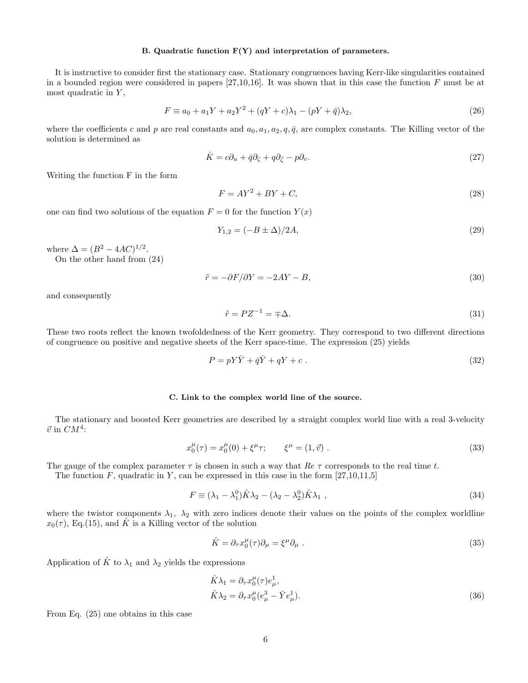# B. Quadratic function F(Y) and interpretation of parameters.

It is instructive to consider first the stationary case. Stationary congruences having Kerr-like singularities contained in a bounded region were considered in papers  $[27,10,16]$ . It was shown that in this case the function F must be at most quadratic in  $Y$ ,

$$
F \equiv a_0 + a_1 Y + a_2 Y^2 + (qY + c)\lambda_1 - (pY + \bar{q})\lambda_2,
$$
\n(26)

where the coefficients c and p are real constants and  $a_0, a_1, a_2, q, \bar{q}$ , are complex constants. The Killing vector of the solution is determined as

$$
\hat{K} = c\partial_u + \bar{q}\partial_\zeta + q\partial_{\bar{\zeta}} - p\partial_v.
$$
\n(27)

Writing the function F in the form

$$
F = AY^2 + BY + C,\tag{28}
$$

one can find two solutions of the equation  $F = 0$  for the function  $Y(x)$ 

$$
Y_{1,2} = (-B \pm \Delta)/2A,\tag{29}
$$

where  $\Delta = (B^2 - 4AC)^{1/2}$ .

On the other hand from (24)

$$
\tilde{r} = -\partial F/\partial Y = -2AY - B,\tag{30}
$$

and consequently

$$
\tilde{r} = PZ^{-1} = \pm \Delta. \tag{31}
$$

These two roots reflect the known twofoldedness of the Kerr geometry. They correspond to two different directions of congruence on positive and negative sheets of the Kerr space-time. The expression (25) yields

$$
P = pY\bar{Y} + \bar{q}\bar{Y} + qY + c \tag{32}
$$

# C. Link to the complex world line of the source.

The stationary and boosted Kerr geometries are described by a straight complex world line with a real 3-velocity  $\vec{v}$  in  $CM^4$ :

$$
x_0^{\mu}(\tau) = x_0^{\mu}(0) + \xi^{\mu}\tau; \qquad \xi^{\mu} = (1, \vec{v}) . \qquad (33)
$$

The gauge of the complex parameter  $\tau$  is chosen in such a way that  $Re \tau$  corresponds to the real time t.

The function F, quadratic in Y, can be expressed in this case in the form  $[27,10,11,5]$ 

$$
F \equiv (\lambda_1 - \lambda_1^0)\hat{K}\lambda_2 - (\lambda_2 - \lambda_2^0)\hat{K}\lambda_1 , \qquad (34)
$$

where the twistor components  $\lambda_1$ ,  $\lambda_2$  with zero indices denote their values on the points of the complex worldline  $x_0(\tau)$ , Eq.(15), and  $\hat{K}$  is a Killing vector of the solution

$$
\hat{K} = \partial_{\tau} x_0^{\mu}(\tau) \partial_{\mu} = \xi^{\mu} \partial_{\mu} . \tag{35}
$$

Application of  $\hat{K}$  to  $\lambda_1$  and  $\lambda_2$  yields the expressions

$$
\hat{K}\lambda_1 = \partial_\tau x_0^\mu(\tau)e_\mu^1, \n\hat{K}\lambda_2 = \partial_\tau x_0^\mu(e_\mu^3 - \bar{Y}e_\mu^1).
$$
\n(36)

From Eq. (25) one obtains in this case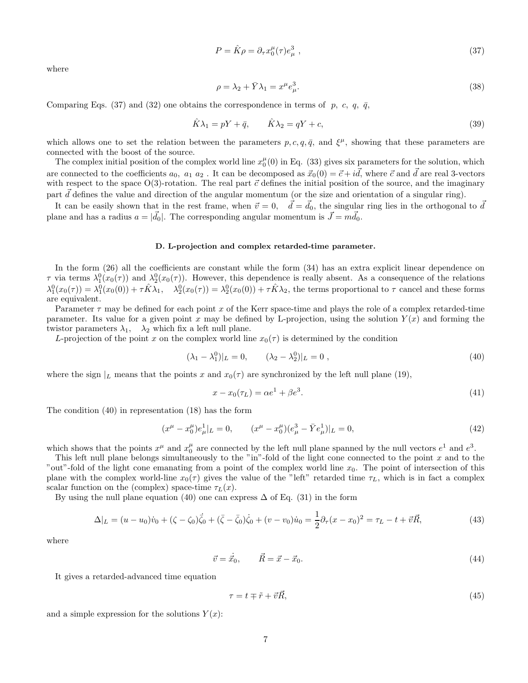$$
P = \hat{K}\rho = \partial_{\tau}x_0^{\mu}(\tau)e_{\mu}^3 \tag{37}
$$

where

$$
\rho = \lambda_2 + \bar{Y}\lambda_1 = x^\mu e_\mu^3. \tag{38}
$$

Comparing Eqs. (37) and (32) one obtains the correspondence in terms of p, c, q,  $\bar{q}$ ,

$$
\hat{K}\lambda_1 = pY + \bar{q}, \qquad \hat{K}\lambda_2 = qY + c,\tag{39}
$$

which allows one to set the relation between the parameters  $p, c, q, \bar{q}$ , and  $\xi^{\mu}$ , showing that these parameters are connected with the boost of the source.

The complex initial position of the complex world line  $x_0^{\mu}(0)$  in Eq. (33) gives six parameters for the solution, which are connected to the coefficients  $a_0$ ,  $a_1 a_2$ . It can be decomposed as  $\vec{x}_0(0) = \vec{c} + i\vec{d}$ , where  $\vec{c}$  and  $\vec{d}$  are real 3-vectors with respect to the space  $O(3)$ -rotation. The real part  $\vec{c}$  defines the initial position of the source, and the imaginary part  $\tilde{d}$  defines the value and direction of the angular momentum (or the size and orientation of a singular ring).

It can be easily shown that in the rest frame, when  $\vec{v} = 0$ ,  $\vec{d} = \vec{d}_0$ , the singular ring lies in the orthogonal to  $\vec{d}$ plane and has a radius  $a = |\vec{d}_0|$ . The corresponding angular momentum is  $\vec{J} = m\vec{d}_0$ .

# D. L-projection and complex retarded-time parameter.

In the form (26) all the coefficients are constant while the form (34) has an extra explicit linear dependence on  $\tau$  via terms  $\lambda_1^0(x_0(\tau))$  and  $\lambda_2^0(x_0(\tau))$ . However, this dependence is really absent. As a consequence of the relations  $\lambda_1^0(x_0(\tau)) = \lambda_1^0(x_0(0)) + \tau \hat{K} \lambda_1$ ,  $\lambda_2^0(x_0(\tau)) = \lambda_2^0(x_0(0)) + \tau \hat{K} \lambda_2$ , the terms proportional to  $\tau$  cancel and these forms are equivalent.

Parameter  $\tau$  may be defined for each point x of the Kerr space-time and plays the role of a complex retarded-time parameter. Its value for a given point x may be defined by L-projection, using the solution  $Y(x)$  and forming the twistor parameters  $\lambda_1$ ,  $\lambda_2$  which fix a left null plane.

L-projection of the point x on the complex world line  $x_0(\tau)$  is determined by the condition

$$
(\lambda_1 - \lambda_1^0)|_L = 0, \qquad (\lambda_2 - \lambda_2^0)|_L = 0, \qquad (40)
$$

where the sign  $|_L$  means that the points x and  $x_0(\tau)$  are synchronized by the left null plane (19),

$$
x - x_0(\tau_L) = \alpha e^1 + \beta e^3. \tag{41}
$$

The condition (40) in representation (18) has the form

$$
(x^{\mu} - x_0^{\mu})e_{\mu}^1|_L = 0, \qquad (x^{\mu} - x_0^{\mu})(e_{\mu}^3 - \bar{Y}e_{\mu}^1)|_L = 0,
$$
\n(42)

which shows that the points  $x^{\mu}$  and  $x_0^{\mu}$  are connected by the left null plane spanned by the null vectors  $e^1$  and  $e^3$ .

This left null plane belongs simultaneously to the "in"-fold of the light cone connected to the point x and to the "out"-fold of the light cone emanating from a point of the complex world line  $x_0$ . The point of intersection of this plane with the complex world-line  $x_0(\tau)$  gives the value of the "left" retarded time  $\tau_L$ , which is in fact a complex scalar function on the (complex) space-time  $\tau_L(x)$ .

By using the null plane equation (40) one can express  $\Delta$  of Eq. (31) in the form

$$
\Delta|_{L} = (u - u_0)\dot{v}_0 + (\zeta - \zeta_0)\dot{\zeta}_0 + (\bar{\zeta} - \bar{\zeta}_0)\dot{\zeta}_0 + (v - v_0)\dot{u}_0 = \frac{1}{2}\partial_{\tau}(x - x_0)^2 = \tau_L - t + \vec{v}\vec{R},\tag{43}
$$

where

$$
\vec{v} = \dot{\vec{x}}_0, \qquad \vec{R} = \vec{x} - \vec{x}_0. \tag{44}
$$

It gives a retarded-advanced time equation

$$
\tau = t \mp \tilde{r} + \vec{v}\vec{R},\tag{45}
$$

and a simple expression for the solutions  $Y(x)$ :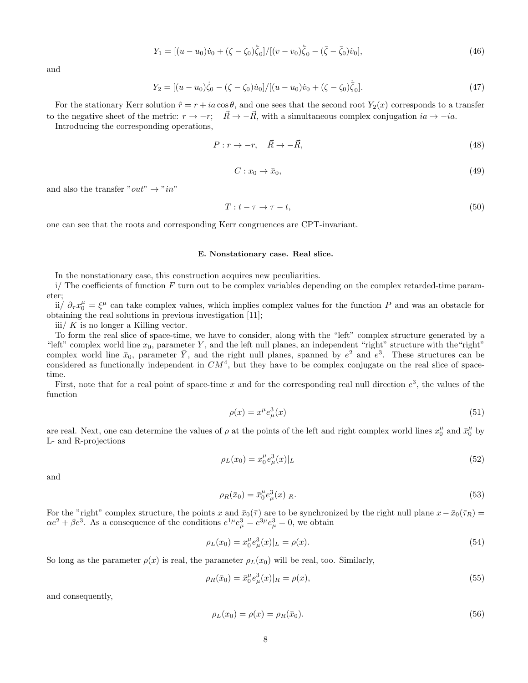$$
Y_1 = [(u - u_0)\dot{v}_0 + (\zeta - \zeta_0)\dot{\bar{\zeta}}_0]/[(v - v_0)\dot{\bar{\zeta}}_0 - (\bar{\zeta} - \bar{\zeta}_0)\dot{v}_0],\tag{46}
$$

and

$$
Y_2 = [(u - u_0)\dot{\zeta}_0 - (\zeta - \zeta_0)\dot{u}_0]/[(u - u_0)\dot{v}_0 + (\zeta - \zeta_0)\dot{\zeta}_0].
$$
\n(47)

For the stationary Kerr solution  $\tilde{r} = r + ia \cos \theta$ , and one sees that the second root  $Y_2(x)$  corresponds to a transfer to the negative sheet of the metric:  $r \to -r$ ;  $\vec{R} \to -\vec{R}$ , with a simultaneous complex conjugation  $ia \to -ia$ .

Introducing the corresponding operations,

$$
P: r \to -r, \quad \vec{R} \to -\vec{R}, \tag{48}
$$

$$
C: x_0 \to \bar{x}_0,\tag{49}
$$

and also the transfer " $out$ "  $\rightarrow$  " $in$ "

$$
T: t - \tau \to \tau - t,\tag{50}
$$

one can see that the roots and corresponding Kerr congruences are CPT-invariant.

#### E. Nonstationary case. Real slice.

In the nonstationary case, this construction acquires new peculiarities.

 $i$ / The coefficients of function F turn out to be complex variables depending on the complex retarded-time parameter;

ii/  $\partial_\tau x_0^\mu = \xi^\mu$  can take complex values, which implies complex values for the function P and was an obstacle for obtaining the real solutions in previous investigation [11];

iii/  $K$  is no longer a Killing vector.

To form the real slice of space-time, we have to consider, along with the "left" complex structure generated by a "left" complex world line  $x_0$ , parameter Y, and the left null planes, an independent "right" structure with the "right" complex world line  $\bar{x}_0$ , parameter  $\bar{Y}$ , and the right null planes, spanned by  $e^2$  and  $e^3$ . These structures can be considered as functionally independent in  $CM<sup>4</sup>$ , but they have to be complex conjugate on the real slice of spacetime.

First, note that for a real point of space-time x and for the corresponding real null direction  $e^3$ , the values of the function

$$
\rho(x) = x^{\mu} e_{\mu}^{3}(x) \tag{51}
$$

are real. Next, one can determine the values of  $\rho$  at the points of the left and right complex world lines  $x_0^{\mu}$  and  $\bar{x}_0^{\mu}$  by L- and R-projections

$$
\rho_L(x_0) = x_0^{\mu} e_{\mu}^3(x)|_L \tag{52}
$$

and

$$
\rho_R(\bar{x}_0) = \bar{x}_0^{\mu} e_{\mu}^3(x)|_R. \tag{53}
$$

For the "right" complex structure, the points x and  $\bar{x}_0(\bar{\tau})$  are to be synchronized by the right null plane  $x-\bar{x}_0(\bar{\tau}_R)$  =  $\alpha e^2 + \beta e^3$ . As a consequence of the conditions  $e^{1\mu}e^3_{\mu} = e^{3\mu}e^3_{\mu} = 0$ , we obtain

$$
\rho_L(x_0) = x_0^{\mu} e_{\mu}^3(x)|_L = \rho(x). \tag{54}
$$

So long as the parameter  $\rho(x)$  is real, the parameter  $\rho_L(x_0)$  will be real, too. Similarly,

$$
\rho_R(\bar{x}_0) = \bar{x}_0^{\mu} e_{\mu}^3(x)|_R = \rho(x),\tag{55}
$$

and consequently,

$$
\rho_L(x_0) = \rho(x) = \rho_R(\bar{x}_0). \tag{56}
$$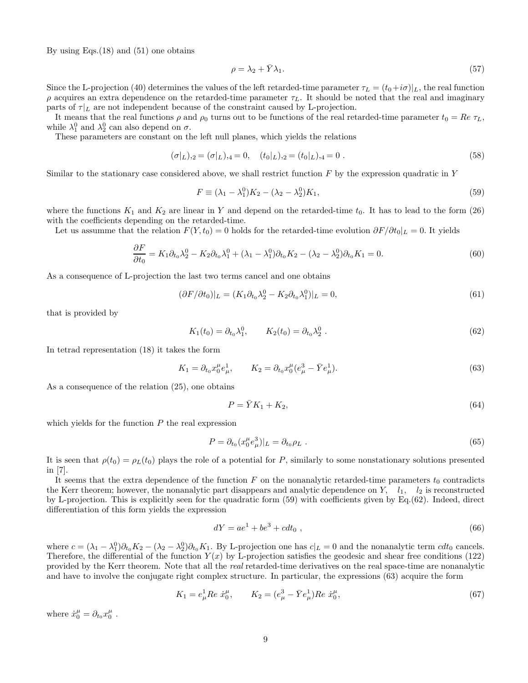By using Eqs. $(18)$  and  $(51)$  one obtains

$$
\rho = \lambda_2 + \bar{Y}\lambda_1. \tag{57}
$$

Since the L-projection (40) determines the values of the left retarded-time parameter  $\tau_L = (t_0 + i\sigma)|_L$ , the real function  $ρ$  acquires an extra dependence on the retarded-time parameter  $τ_L$ . It should be noted that the real and imaginary parts of  $\tau|_L$  are not independent because of the constraint caused by L-projection.

It means that the real functions  $\rho$  and  $\rho_0$  turns out to be functions of the real retarded-time parameter  $t_0 = Re \tau_L$ , while  $\lambda_1^0$  and  $\lambda_2^0$  can also depend on  $\sigma$ .

These parameters are constant on the left null planes, which yields the relations

$$
(\sigma|_L)_{,2} = (\sigma|_L)_{,4} = 0, \quad (t_0|_L)_{,2} = (t_0|_L)_{,4} = 0.
$$
\n
$$
(58)
$$

Similar to the stationary case considered above, we shall restrict function  $F$  by the expression quadratic in  $Y$ 

$$
F \equiv (\lambda_1 - \lambda_1^0) K_2 - (\lambda_2 - \lambda_2^0) K_1,
$$
\n(59)

where the functions  $K_1$  and  $K_2$  are linear in Y and depend on the retarded-time  $t_0$ . It has to lead to the form (26) with the coefficients depending on the retarded-time.

Let us assumme that the relation  $F(Y, t_0) = 0$  holds for the retarded-time evolution  $\partial F/\partial t_0|_L = 0$ . It yields

$$
\frac{\partial F}{\partial t_0} = K_1 \partial_{t_0} \lambda_2^0 - K_2 \partial_{t_0} \lambda_1^0 + (\lambda_1 - \lambda_1^0) \partial_{t_0} K_2 - (\lambda_2 - \lambda_2^0) \partial_{t_0} K_1 = 0.
$$
\n(60)

As a consequence of L-projection the last two terms cancel and one obtains

$$
(\partial F/\partial t_0)|_L = (K_1 \partial_{t_0} \lambda_2^0 - K_2 \partial_{t_0} \lambda_1^0)|_L = 0,
$$
\n
$$
(61)
$$

that is provided by

$$
K_1(t_0) = \partial_{t_0} \lambda_1^0, \qquad K_2(t_0) = \partial_{t_0} \lambda_2^0 \ . \tag{62}
$$

In tetrad representation (18) it takes the form

$$
K_1 = \partial_{t_0} x_0^{\mu} e_{\mu}^1, \qquad K_2 = \partial_{t_0} x_0^{\mu} (e_{\mu}^3 - \bar{Y} e_{\mu}^1). \tag{63}
$$

As a consequence of the relation (25), one obtains

$$
P = \bar{Y}K_1 + K_2,\tag{64}
$$

which yields for the function  $P$  the real expression

$$
P = \partial_{t_0} (x_0^{\mu} e_{\mu}^3)|_L = \partial_{t_0} \rho_L . \qquad (65)
$$

It is seen that  $\rho(t_0) = \rho_L(t_0)$  plays the role of a potential for P, similarly to some nonstationary solutions presented in [7].

It seems that the extra dependence of the function F on the nonanalytic retarded-time parameters  $t_0$  contradicts the Kerr theorem; however, the nonanalytic part disappears and analytic dependence on  $Y$ ,  $l_1$ ,  $l_2$  is reconstructed by L-projection. This is explicitly seen for the quadratic form (59) with coefficients given by Eq.(62). Indeed, direct differentiation of this form yields the expression

$$
dY = ae^1 + be^3 + cdt_0 , \t\t(66)
$$

where  $c = (\lambda_1 - \lambda_1^0) \partial_{t_0} K_2 - (\lambda_2 - \lambda_2^0) \partial_{t_0} K_1$ . By L-projection one has  $c|_L = 0$  and the nonanalytic term  $cdt_0$  cancels. Therefore, the differential of the function  $Y(x)$  by L-projection satisfies the geodesic and shear free conditions (122) provided by the Kerr theorem. Note that all the real retarded-time derivatives on the real space-time are nonanalytic and have to involve the conjugate right complex structure. In particular, the expressions (63) acquire the form

$$
K_1 = e^1_\mu Re \dot{x}^\mu_0, \qquad K_2 = (e^3_\mu - \bar{Y}e^1_\mu)Re \dot{x}^\mu_0,
$$
\n(67)

where  $\dot{x}_0^{\mu} = \partial_{t_0} x_0^{\mu}$ .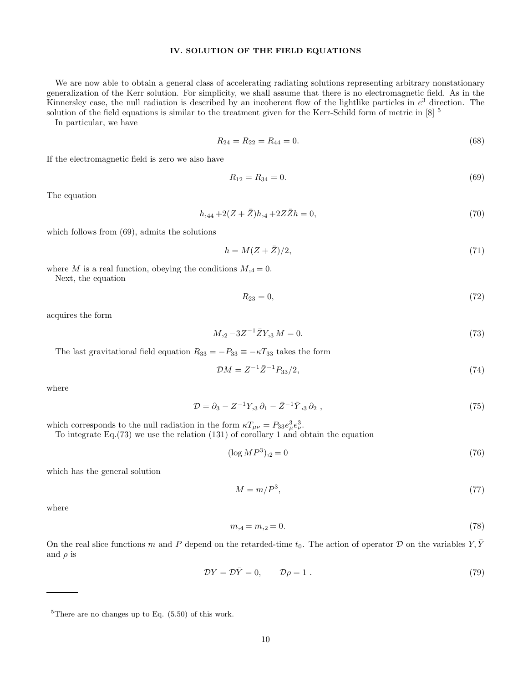# IV. SOLUTION OF THE FIELD EQUATIONS

We are now able to obtain a general class of accelerating radiating solutions representing arbitrary nonstationary generalization of the Kerr solution. For simplicity, we shall assume that there is no electromagnetic field. As in the Kinnersley case, the null radiation is described by an incoherent flow of the lightlike particles in  $e^3$  direction. The solution of the field equations is similar to the treatment given for the Kerr-Schild form of metric in  $[8]$ <sup>5</sup>

In particular, we have

$$
R_{24} = R_{22} = R_{44} = 0. \tag{68}
$$

If the electromagnetic field is zero we also have

$$
R_{12} = R_{34} = 0.\t\t(69)
$$

The equation

$$
h_{,44} + 2(Z + \bar{Z})h_{,4} + 2Z\bar{Z}h = 0,\t\t(70)
$$

which follows from (69), admits the solutions

$$
h = M(Z + \bar{Z})/2,\tag{71}
$$

where M is a real function, obeying the conditions  $M_{,4} = 0$ . Next, the equation

$$
R_{23} = 0,\t\t(72)
$$

acquires the form

$$
M_{22} - 3Z^{-1}\bar{Z}Y_{23}M = 0.\t\t(73)
$$

The last gravitational field equation  $R_{33} = -P_{33} \equiv -\kappa T_{33}$  takes the form

$$
\mathcal{D}M = Z^{-1}\bar{Z}^{-1}P_{33}/2,\tag{74}
$$

where

$$
\mathcal{D} = \partial_3 - Z^{-1} Y_{,3} \partial_1 - \bar{Z}^{-1} \bar{Y}_{,3} \partial_2 , \qquad (75)
$$

which corresponds to the null radiation in the form  $\kappa T_{\mu\nu} = P_{33} e^3_{\mu} e^3_{\nu}$ .

To integrate Eq.(73) we use the relation (131) of corollary 1 and obtain the equation

$$
(\log MP^3)_{,2} = 0 \tag{76}
$$

which has the general solution

$$
M = m/P^3,\tag{77}
$$

where

$$
m_{,4} = m_{,2} = 0.\tag{78}
$$

On the real slice functions m and P depend on the retarded-time  $t_0$ . The action of operator D on the variables Y, Y and  $\rho$  is

$$
\mathcal{D}Y = \mathcal{D}\bar{Y} = 0, \qquad \mathcal{D}\rho = 1. \tag{79}
$$

 ${}^{5}$ There are no changes up to Eq. (5.50) of this work.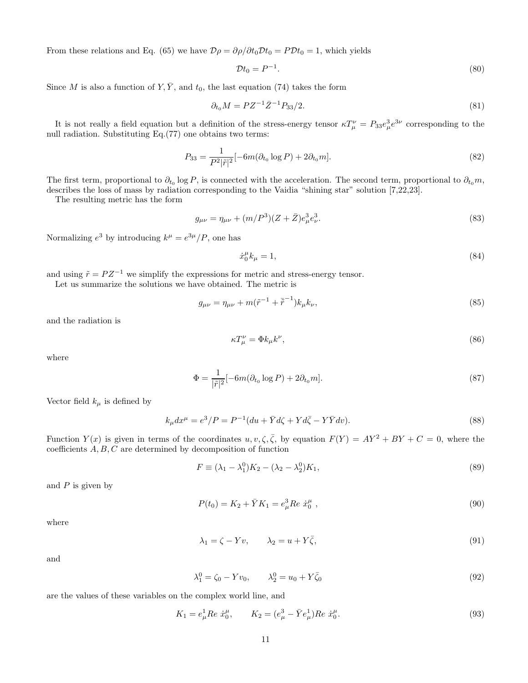From these relations and Eq. (65) we have  $\mathcal{D}\rho = \partial \rho / \partial t_0 \mathcal{D} t_0 = P \mathcal{D} t_0 = 1$ , which yields

$$
\mathcal{D}t_0 = P^{-1}.\tag{80}
$$

Since M is also a function of Y,  $\overline{Y}$ , and  $t_0$ , the last equation (74) takes the form

$$
\partial_{t_0} M = P Z^{-1} \bar{Z}^{-1} P_{33} / 2. \tag{81}
$$

It is not really a field equation but a definition of the stress-energy tensor  $\kappa T_{\mu}^{\nu} = P_{33}e_{\mu}^{3}e^{3\nu}$  corresponding to the null radiation. Substituting Eq.(77) one obtains two terms:

$$
P_{33} = \frac{1}{P^2|\tilde{r}|^2}[-6m(\partial_{t_0}\log P) + 2\partial_{t_0}m].
$$
\n(82)

The first term, proportional to  $\partial_{t_0} \log P$ , is connected with the acceleration. The second term, proportional to  $\partial_{t_0} m$ , describes the loss of mass by radiation corresponding to the Vaidia "shining star" solution [7,22,23].

The resulting metric has the form

$$
g_{\mu\nu} = \eta_{\mu\nu} + (m/P^3)(Z + \bar{Z})e^3_{\mu}e^3_{\nu}.
$$
\n(83)

Normalizing  $e^3$  by introducing  $k^{\mu} = e^{3\mu}/P$ , one has

$$
\dot{x}_0^{\mu}k_{\mu} = 1,\tag{84}
$$

and using  $\tilde{r} = P Z^{-1}$  we simplify the expressions for metric and stress-energy tensor.

Let us summarize the solutions we have obtained. The metric is

$$
g_{\mu\nu} = \eta_{\mu\nu} + m(\tilde{r}^{-1} + \tilde{r}^{-1})k_{\mu}k_{\nu},
$$
\n(85)

and the radiation is

$$
\kappa T_{\mu}^{\nu} = \Phi k_{\mu} k^{\nu},\tag{86}
$$

where

$$
\Phi = \frac{1}{|\tilde{r}|^2} [-6m(\partial_{t_0} \log P) + 2\partial_{t_0} m]. \tag{87}
$$

Vector field  $k_{\mu}$  is defined by

$$
k_{\mu}dx^{\mu} = e^3/P = P^{-1}(du + \bar{Y}d\zeta + Yd\bar{\zeta} - Y\bar{Y}dv).
$$
\n(88)

Function  $Y(x)$  is given in terms of the coordinates  $u, v, \zeta, \overline{\zeta}$ , by equation  $F(Y) = AY^2 + BY + C = 0$ , where the coefficients A, B, C are determined by decomposition of function

$$
F \equiv (\lambda_1 - \lambda_1^0) K_2 - (\lambda_2 - \lambda_2^0) K_1,\tag{89}
$$

and  $P$  is given by

$$
P(t_0) = K_2 + \bar{Y}K_1 = e^3_\mu Re \dot{x}^\mu_0 , \qquad (90)
$$

where

$$
\lambda_1 = \zeta - Yv, \qquad \lambda_2 = u + Y\overline{\zeta}, \tag{91}
$$

and

$$
\lambda_1^0 = \zeta_0 - Yv_0, \qquad \lambda_2^0 = u_0 + Y\bar{\zeta}_0 \tag{92}
$$

are the values of these variables on the complex world line, and

$$
K_1 = e^1_\mu Re \dot{x}^\mu_0, \qquad K_2 = (e^3_\mu - \bar{Y}e^1_\mu)Re \dot{x}^\mu_0. \tag{93}
$$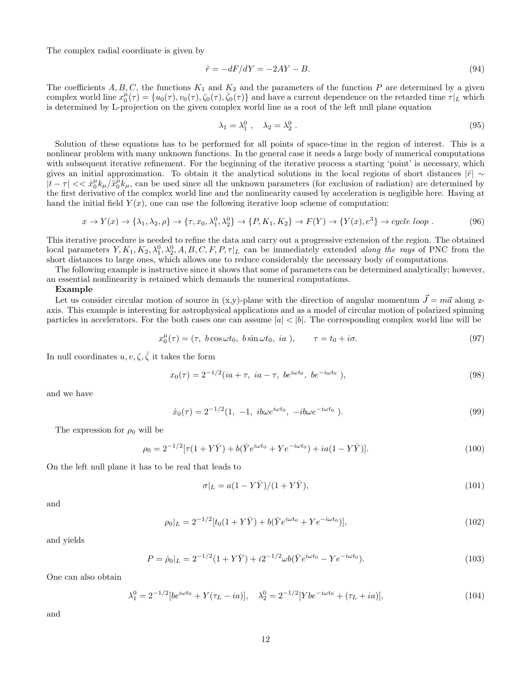The complex radial coordinate is given by

$$
\tilde{r} = -dF/dY = -2AY - B.\tag{94}
$$

The coefficients  $A, B, C$ , the functions  $K_1$  and  $K_2$  and the parameters of the function P are determined by a given complex world line  $x_0^{\mu}(\tau) = \{u_0(\tau), v_0(\tau), \overline{\zeta_0(\tau)}, \overline{\zeta_0(\tau)}\}$  and have a current dependence on the retarded time  $\tau|_L$  which is determined by L-projection on the given complex world line as a root of the left null plane equation

$$
\lambda_1 = \lambda_1^0, \quad \lambda_2 = \lambda_2^0. \tag{95}
$$

Solution of these equations has to be performed for all points of space-time in the region of interest. This is a nonlinear problem with many unknown functions. In the general case it needs a large body of numerical computations with subsequent iterative refinement. For the beginning of the iterative process a starting 'point' is necessary, which gives an initial approximation. To obtain it the analytical solutions in the local regions of short distances  $|\tilde{r}| \sim$  $|t-\tau| << \dot{x}_0^\mu k_\mu / \dot{x}_0^\mu k_\mu$ , can be used since all the unknown parameters (for exclusion of radiation) are determined by the first derivative of the complex world line and the nonlinearity caused by acceleration is negligible here. Having at hand the initial field  $Y(x)$ , one can use the following iterative loop scheme of computation:

$$
x \to Y(x) \to \{\lambda_1, \lambda_2, \rho\} \to \{\tau, x_0, \lambda_1^0, \lambda_2^0\} \to \{P, K_1, K_2\} \to F(Y) \to \{Y(x), e^3\} \to cycle \; loop \; . \tag{96}
$$

This iterative procedure is needed to refine the data and carry out a progressive extension of the region. The obtained local parameters  $Y, K_1, K_2, \lambda_1^0, \lambda_2^0, A, B, C, F, P, \tau|_L$  can be immediately extended *along the rays* of PNC from the short distances to large ones, which allows one to reduce considerably the necessary body of computations.

The following example is instructive since it shows that some of parameters can be determined analytically; however, an essential nonlinearity is retained which demands the numerical computations.

#### Example

Let us consider circular motion of source in (x,y)-plane with the direction of angular momentum  $\vec{J} = m\vec{a}$  along zaxis. This example is interesting for astrophysical applications and as a model of circular motion of polarized spinning particles in accelerators. For the both cases one can assume  $|a| < |b|$ . The corresponding complex world line will be

$$
x_0^{\mu}(\tau) = (\tau, b \cos \omega t_0, b \sin \omega t_0, ia), \qquad \tau = t_0 + i\sigma. \tag{97}
$$

In null coordinates  $u, v, \zeta, \bar{\zeta}$  it takes the form

$$
x_0(\tau) = 2^{-1/2} (ia + \tau, ia - \tau, be^{i\omega t_0}, be^{-i\omega t_0}),
$$
\n(98)

and we have

$$
\dot{x}_0(\tau) = 2^{-1/2} (1, -1, \ i b \omega e^{i \omega t_0}, \ -i b \omega e^{-i \omega t_0}). \tag{99}
$$

The expression for  $\rho_0$  will be

$$
\rho_0 = 2^{-1/2} [\tau (1 + Y\bar{Y}) + b(\bar{Y}e^{i\omega t_0} + Ye^{-i\omega t_0}) + ia(1 - Y\bar{Y})]. \tag{100}
$$

On the left null plane it has to be real that leads to

$$
\sigma|_L = a(1 - Y\bar{Y})/(1 + Y\bar{Y}),\tag{101}
$$

and

$$
\rho_0|_L = 2^{-1/2} [t_0(1 + Y\bar{Y}) + b(\bar{Y}e^{i\omega t_0} + Ye^{-i\omega t_0})],
$$
\n(102)

and yields

$$
P = \dot{\rho}_0|_L = 2^{-1/2}(1 + Y\bar{Y}) + i2^{-1/2}\omega b(\bar{Y}e^{i\omega t_0} - Ye^{-i\omega t_0}).
$$
\n(103)

One can also obtain

$$
\lambda_1^0 = 2^{-1/2} [be^{i\omega t_0} + Y(\tau_L - ia)], \quad \lambda_2^0 = 2^{-1/2} [Ybe^{-i\omega t_0} + (\tau_L + ia)], \tag{104}
$$

and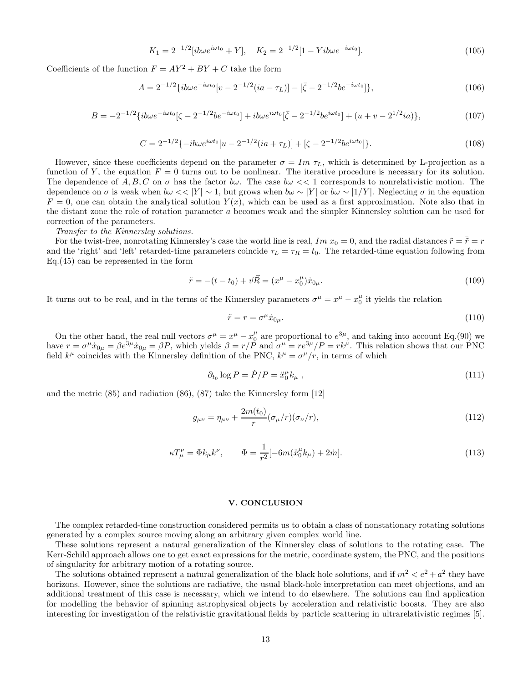$$
K_1 = 2^{-1/2} [i b \omega e^{i \omega t_0} + Y], \quad K_2 = 2^{-1/2} [1 - Y i b \omega e^{-i \omega t_0}]. \tag{105}
$$

Coefficients of the function  $F = AY^2 + BY + C$  take the form

$$
A = 2^{-1/2} \{ ib\omega e^{-i\omega t_0} [v - 2^{-1/2} (ia - \tau_L)] - [\bar{\zeta} - 2^{-1/2} b e^{-i\omega t_0}] \},
$$
\n(106)

$$
B = -2^{-1/2} \{ ib\omega e^{-i\omega t_0} [\zeta - 2^{-1/2} b e^{-i\omega t_0}] + ib\omega e^{i\omega t_0} [\bar{\zeta} - 2^{-1/2} b e^{i\omega t_0}] + (u + v - 2^{1/2} i a) \},\tag{107}
$$

$$
C = 2^{-1/2} \{-ib\omega e^{i\omega t_0} [u - 2^{-1/2} (ia + \tau_L)] + [\zeta - 2^{-1/2} b e^{i\omega t_0}]\}. \tag{108}
$$

However, since these coefficients depend on the parameter  $\sigma = Im \tau_L$ , which is determined by L-projection as a function of Y, the equation  $F = 0$  turns out to be nonlinear. The iterative procedure is necessary for its solution. The dependence of  $A, B, C$  on  $\sigma$  has the factor  $b\omega$ . The case  $b\omega \ll 1$  corresponds to nonrelativistic motion. The dependence on  $\sigma$  is weak when  $b\omega \ll |Y| \sim 1$ , but grows when  $b\omega \sim |Y|$  or  $b\omega \sim |1/Y|$ . Neglecting  $\sigma$  in the equation  $F = 0$ , one can obtain the analytical solution  $Y(x)$ , which can be used as a first approximation. Note also that in the distant zone the role of rotation parameter a becomes weak and the simpler Kinnersley solution can be used for correction of the parameters.

#### Transfer to the Kinnersley solutions.

For the twist-free, nonrotating Kinnersley's case the world line is real, Im  $x_0 = 0$ , and the radial distances  $\tilde{r} = \tilde{r} = r$ and the 'right' and 'left' retarded-time parameters coincide  $\tau_L = \tau_R = t_0$ . The retarded-time equation following from Eq.(45) can be represented in the form

$$
\tilde{r} = -(t - t_0) + \vec{v}\vec{R} = (x^{\mu} - x_0^{\mu})\dot{x}_{0\mu}.
$$
\n(109)

It turns out to be real, and in the terms of the Kinnersley parameters  $\sigma^{\mu} = x^{\mu} - x_0^{\mu}$  it yields the relation

$$
\tilde{r} = r = \sigma^{\mu} \dot{x}_{0\mu}.
$$
\n(110)

On the other hand, the real null vectors  $\sigma^{\mu} = x^{\mu} - x_0^{\mu}$  are proportional to  $e^{3\mu}$ , and taking into account Eq.(90) we have  $r = \sigma^{\mu}\dot{x}_{0\mu} = \beta e^{3\mu}\dot{x}_{0\mu} = \beta P$ , which yields  $\beta = r/\tilde{P}$  and  $\sigma^{\mu} = re^{3\mu}/P = rk^{\mu}$ . This relation shows that our PNC field  $k^{\mu}$  coincides with the Kinnersley definition of the PNC,  $k^{\mu} = \sigma^{\mu}/r$ , in terms of which

$$
\partial_{t_0} \log P = \dot{P} / P = \ddot{x}_0^{\mu} k_{\mu} \tag{111}
$$

and the metric (85) and radiation (86), (87) take the Kinnersley form [12]

$$
g_{\mu\nu} = \eta_{\mu\nu} + \frac{2m(t_0)}{r} (\sigma_{\mu}/r)(\sigma_{\nu}/r),
$$
\n(112)

$$
\kappa T_{\mu}^{\nu} = \Phi k_{\mu} k^{\nu}, \qquad \Phi = \frac{1}{r^2} [-6m(\ddot{x}_0^{\mu} k_{\mu}) + 2\dot{m}]. \tag{113}
$$

## V. CONCLUSION

The complex retarded-time construction considered permits us to obtain a class of nonstationary rotating solutions generated by a complex source moving along an arbitrary given complex world line.

These solutions represent a natural generalization of the Kinnersley class of solutions to the rotating case. The Kerr-Schild approach allows one to get exact expressions for the metric, coordinate system, the PNC, and the positions of singularity for arbitrary motion of a rotating source.

The solutions obtained represent a natural generalization of the black hole solutions, and if  $m^2 < e^2 + a^2$  they have horizons. However, since the solutions are radiative, the usual black-hole interpretation can meet objections, and an additional treatment of this case is necessary, which we intend to do elsewhere. The solutions can find application for modelling the behavior of spinning astrophysical objects by acceleration and relativistic boosts. They are also interesting for investigation of the relativistic gravitational fields by particle scattering in ultrarelativistic regimes [5].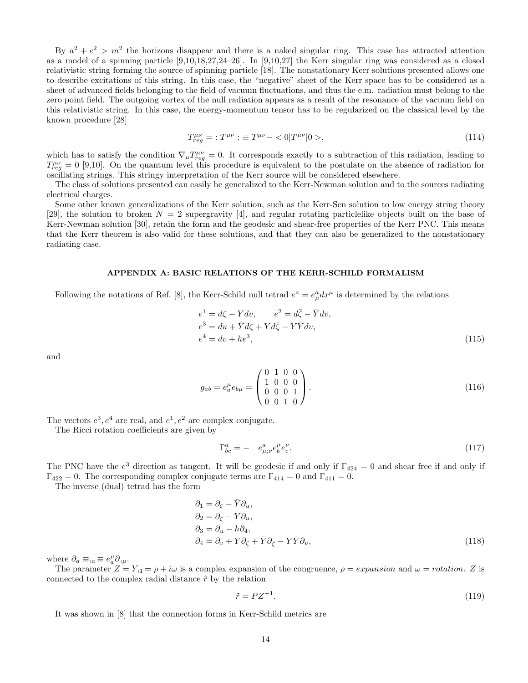By  $a^2 + e^2 > m^2$  the horizons disappear and there is a naked singular ring. This case has attracted attention as a model of a spinning particle [9,10,18,27,24–26]. In [9,10,27] the Kerr singular ring was considered as a closed relativistic string forming the source of spinning particle [18]. The nonstationary Kerr solutions presented allows one to describe excitations of this string. In this case, the "negative" sheet of the Kerr space has to be considered as a sheet of advanced fields belonging to the field of vacuum fluctuations, and thus the e.m. radiation must belong to the zero point field. The outgoing vortex of the null radiation appears as a result of the resonance of the vacuum field on this relativistic string. In this case, the energy-momentum tensor has to be regularized on the classical level by the known procedure [28]

$$
T_{reg}^{\mu\nu} = :T^{\mu\nu} : \equiv T^{\mu\nu} - \langle 0|T^{\mu\nu}|0 \rangle, \tag{114}
$$

which has to satisfy the condition  $\nabla_{\mu}T^{\mu\nu}_{reg}=0$ . It corresponds exactly to a subtraction of this radiation, leading to  $T_{reg}^{\mu\nu} = 0$  [9,10]. On the quantum level this procedure is equivalent to the postulate on the absence of radiation for oscillating strings. This stringy interpretation of the Kerr source will be considered elsewhere.

The class of solutions presented can easily be generalized to the Kerr-Newman solution and to the sources radiating electrical charges.

Some other known generalizations of the Kerr solution, such as the Kerr-Sen solution to low energy string theory [29], the solution to broken  $N = 2$  supergravity [4], and regular rotating particlelike objects built on the base of Kerr-Newman solution [30], retain the form and the geodesic and shear-free properties of the Kerr PNC. This means that the Kerr theorem is also valid for these solutions, and that they can also be generalized to the nonstationary radiating case.

#### APPENDIX A: BASIC RELATIONS OF THE KERR-SCHILD FORMALISM

Following the notations of Ref. [8], the Kerr-Schild null tetrad  $e^a = e^a_\mu dx^\mu$  is determined by the relations

$$
e1 = d\zeta - Ydv, \t e2 = d\bar{\zeta} - \bar{Y}dv,e3 = du + \bar{Y}d\zeta + Yd\bar{\zeta} - Y\bar{Y}dv,e4 = dv + he3,
$$
\t(115)

and

$$
g_{ab} = e_a^{\mu} e_{b\mu} = \begin{pmatrix} 0 & 1 & 0 & 0 \\ 1 & 0 & 0 & 0 \\ 0 & 0 & 0 & 1 \\ 0 & 0 & 1 & 0 \end{pmatrix} . \tag{116}
$$

The vectors  $e^3$ ,  $e^4$  are real, and  $e^1$ ,  $e^2$  are complex conjugate.

The Ricci rotation coefficients are given by

$$
\Gamma^a_{bc} = -e^a_{\mu;\nu} e^{\mu}_b e^{\nu}_c. \tag{117}
$$

The PNC have the  $e^3$  direction as tangent. It will be geodesic if and only if  $\Gamma_{424} = 0$  and shear free if and only if  $\Gamma_{422} = 0$ . The corresponding complex conjugate terms are  $\Gamma_{414} = 0$  and  $\Gamma_{411} = 0$ .

The inverse (dual) tetrad has the form

$$
\partial_1 = \partial_{\zeta} - \bar{Y}\partial_u,\n\partial_2 = \partial_{\bar{\zeta}} - Y\partial_u,\n\partial_3 = \partial_u - h\partial_4,\n\partial_4 = \partial_v + Y\partial_{\zeta} + \bar{Y}\partial_{\bar{\zeta}} - Y\bar{Y}\partial_u,
$$
\n(118)

where  $\partial_a \equiv_{,a} \equiv e^\mu_a \partial_{,\mu}$ .

The parameter  $Z = Y_{11} = \rho + i\omega$  is a complex expansion of the congruence,  $\rho = expansion$  and  $\omega = rotation$ . Z is connected to the complex radial distance  $\tilde{r}$  by the relation

$$
\tilde{r} = PZ^{-1}.\tag{119}
$$

It was shown in [8] that the connection forms in Kerr-Schild metrics are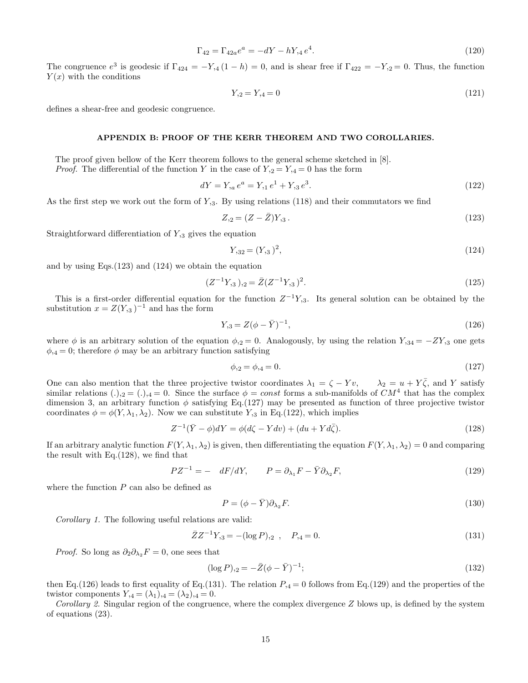$$
\Gamma_{42} = \Gamma_{42a}e^a = -dY - hY_{,4}e^4. \tag{120}
$$

The congruence  $e^3$  is geodesic if  $\Gamma_{424} = -Y_{,4} (1-h) = 0$ , and is shear free if  $\Gamma_{422} = -Y_{,2} = 0$ . Thus, the function  $Y(x)$  with the conditions

$$
Y_{,2} = Y_{,4} = 0 \tag{121}
$$

defines a shear-free and geodesic congruence.

# APPENDIX B: PROOF OF THE KERR THEOREM AND TWO COROLLARIES.

The proof given bellow of the Kerr theorem follows to the general scheme sketched in [8].

*Proof.* The differential of the function Y in the case of  $Y_{12} = Y_{14} = 0$  has the form

$$
dY = Y_{,a} e^a = Y_{,1} e^1 + Y_{,3} e^3. \tag{122}
$$

As the first step we work out the form of  $Y_{,3}$ . By using relations (118) and their commutators we find

$$
Z_{,2} = (Z - \bar{Z})Y_{,3} \,. \tag{123}
$$

Straightforward differentiation of  $Y_{3}$  gives the equation

$$
Y_{,32} = (Y_{,3})^2,\tag{124}
$$

and by using Eqs.(123) and (124) we obtain the equation

$$
(Z^{-1}Y_{,3})_{,2} = \bar{Z}(Z^{-1}Y_{,3})^2. \tag{125}
$$

This is a first-order differential equation for the function  $Z^{-1}Y_{,3}$ . Its general solution can be obtained by the substitution  $x = Z(Y_{1,3})^{-1}$  and has the form

$$
Y_{,3} = Z(\phi - \bar{Y})^{-1},\tag{126}
$$

where  $\phi$  is an arbitrary solution of the equation  $\phi_{2} = 0$ . Analogously, by using the relation  $Y_{1,34} = -ZY_{1,3}$  one gets  $\phi_{14} = 0$ ; therefore  $\phi$  may be an arbitrary function satisfying

$$
\phi_{,2} = \phi_{,4} = 0. \tag{127}
$$

One can also mention that the three projective twistor coordinates  $\lambda_1 = \zeta - Yv$ ,  $\lambda_2 = u + Y\overline{\zeta}$ , and Y satisfy similar relations  $(.)_{2} = (.)_{4} = 0$ . Since the surface  $\phi = const$  forms a sub-manifolds of  $CM^{4}$  that has the complex dimension 3, an arbitrary function  $\phi$  satisfying Eq.(127) may be presented as function of three projective twistor coordinates  $\phi = \phi(Y, \lambda_1, \lambda_2)$ . Now we can substitute  $Y_{1,3}$  in Eq.(122), which implies

$$
Z^{-1}(\bar{Y} - \phi)dY = \phi(d\zeta - Ydv) + (du + Yd\bar{\zeta}).
$$
\n(128)

If an arbitrary analytic function  $F(Y, \lambda_1, \lambda_2)$  is given, then differentiating the equation  $F(Y, \lambda_1, \lambda_2) = 0$  and comparing the result with Eq.(128), we find that

$$
PZ^{-1} = - dF/dY, \qquad P = \partial_{\lambda_1} F - \bar{Y} \partial_{\lambda_2} F, \tag{129}
$$

where the function  $P$  can also be defined as

$$
P = (\phi - \bar{Y})\partial_{\lambda_2}F. \tag{130}
$$

Corollary 1. The following useful relations are valid:

$$
\bar{Z}Z^{-1}Y_{,3} = -(\log P)_{,2} \ , \quad P_{,4} = 0. \tag{131}
$$

*Proof.* So long as  $\partial_2 \partial_{\lambda_2} F = 0$ , one sees that

$$
(\log P)_{2} = -\bar{Z}(\phi - \bar{Y})^{-1};\tag{132}
$$

then Eq.(126) leads to first equality of Eq.(131). The relation  $P_{,4} = 0$  follows from Eq.(129) and the properties of the twistor components  $Y_{,4} = (\lambda_1)_{,4} = (\lambda_2)_{,4} = 0$ .

Corollary 2. Singular region of the congruence, where the complex divergence  $Z$  blows up, is defined by the system of equations (23).